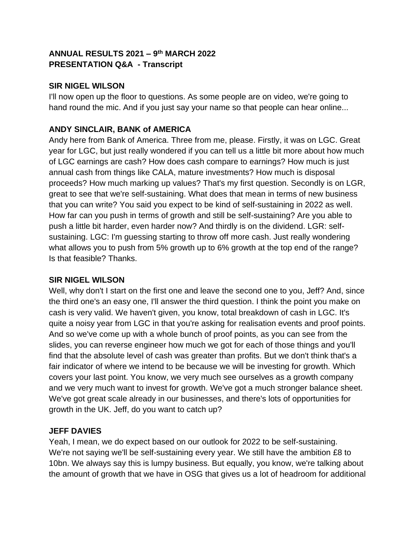# **ANNUAL RESULTS 2021 – 9 th MARCH 2022 PRESENTATION Q&A - Transcript**

### **SIR NIGEL WILSON**

I'll now open up the floor to questions. As some people are on video, we're going to hand round the mic. And if you just say your name so that people can hear online...

## **ANDY SINCLAIR, BANK of AMERICA**

Andy here from Bank of America. Three from me, please. Firstly, it was on LGC. Great year for LGC, but just really wondered if you can tell us a little bit more about how much of LGC earnings are cash? How does cash compare to earnings? How much is just annual cash from things like CALA, mature investments? How much is disposal proceeds? How much marking up values? That's my first question. Secondly is on LGR, great to see that we're self-sustaining. What does that mean in terms of new business that you can write? You said you expect to be kind of self-sustaining in 2022 as well. How far can you push in terms of growth and still be self-sustaining? Are you able to push a little bit harder, even harder now? And thirdly is on the dividend. LGR: selfsustaining. LGC: I'm guessing starting to throw off more cash. Just really wondering what allows you to push from 5% growth up to 6% growth at the top end of the range? Is that feasible? Thanks.

### **SIR NIGEL WILSON**

Well, why don't I start on the first one and leave the second one to you, Jeff? And, since the third one's an easy one, I'll answer the third question. I think the point you make on cash is very valid. We haven't given, you know, total breakdown of cash in LGC. It's quite a noisy year from LGC in that you're asking for realisation events and proof points. And so we've come up with a whole bunch of proof points, as you can see from the slides, you can reverse engineer how much we got for each of those things and you'll find that the absolute level of cash was greater than profits. But we don't think that's a fair indicator of where we intend to be because we will be investing for growth. Which covers your last point. You know, we very much see ourselves as a growth company and we very much want to invest for growth. We've got a much stronger balance sheet. We've got great scale already in our businesses, and there's lots of opportunities for growth in the UK. Jeff, do you want to catch up?

### **JEFF DAVIES**

Yeah, I mean, we do expect based on our outlook for 2022 to be self-sustaining. We're not saying we'll be self-sustaining every year. We still have the ambition £8 to 10bn. We always say this is lumpy business. But equally, you know, we're talking about the amount of growth that we have in OSG that gives us a lot of headroom for additional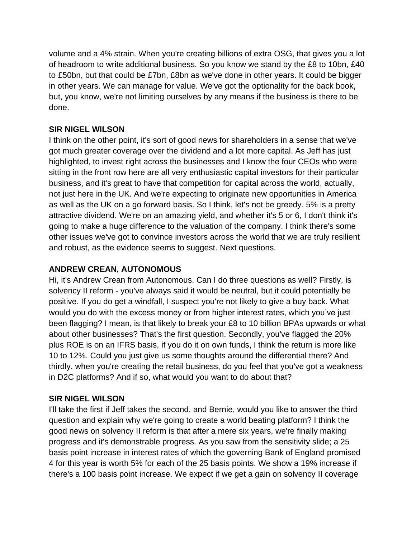volume and a 4% strain. When you're creating billions of extra OSG, that gives you a lot of headroom to write additional business. So you know we stand by the £8 to 10bn, £40 to £50bn, but that could be £7bn, £8bn as we've done in other years. It could be bigger in other years. We can manage for value. We've got the optionality for the back book, but, you know, we're not limiting ourselves by any means if the business is there to be done.

## **SIR NIGEL WILSON**

I think on the other point, it's sort of good news for shareholders in a sense that we've got much greater coverage over the dividend and a lot more capital. As Jeff has just highlighted, to invest right across the businesses and I know the four CEOs who were sitting in the front row here are all very enthusiastic capital investors for their particular business, and it's great to have that competition for capital across the world, actually, not just here in the UK. And we're expecting to originate new opportunities in America as well as the UK on a go forward basis. So I think, let's not be greedy. 5% is a pretty attractive dividend. We're on an amazing yield, and whether it's 5 or 6, I don't think it's going to make a huge difference to the valuation of the company. I think there's some other issues we've got to convince investors across the world that we are truly resilient and robust, as the evidence seems to suggest. Next questions.

# **ANDREW CREAN, AUTONOMOUS**

Hi, it's Andrew Crean from Autonomous. Can I do three questions as well? Firstly, is solvency II reform - you've always said it would be neutral, but it could potentially be positive. If you do get a windfall, I suspect you're not likely to give a buy back. What would you do with the excess money or from higher interest rates, which you've just been flagging? I mean, is that likely to break your £8 to 10 billion BPAs upwards or what about other businesses? That's the first question. Secondly, you've flagged the 20% plus ROE is on an IFRS basis, if you do it on own funds, I think the return is more like 10 to 12%. Could you just give us some thoughts around the differential there? And thirdly, when you're creating the retail business, do you feel that you've got a weakness in D2C platforms? And if so, what would you want to do about that?

### **SIR NIGEL WILSON**

I'll take the first if Jeff takes the second, and Bernie, would you like to answer the third question and explain why we're going to create a world beating platform? I think the good news on solvency II reform is that after a mere six years, we're finally making progress and it's demonstrable progress. As you saw from the sensitivity slide; a 25 basis point increase in interest rates of which the governing Bank of England promised 4 for this year is worth 5% for each of the 25 basis points. We show a 19% increase if there's a 100 basis point increase. We expect if we get a gain on solvency II coverage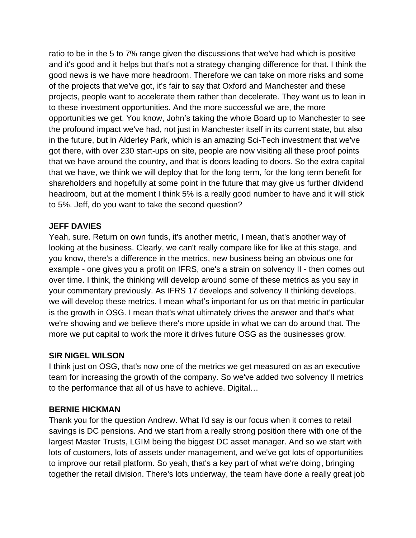ratio to be in the 5 to 7% range given the discussions that we've had which is positive and it's good and it helps but that's not a strategy changing difference for that. I think the good news is we have more headroom. Therefore we can take on more risks and some of the projects that we've got, it's fair to say that Oxford and Manchester and these projects, people want to accelerate them rather than decelerate. They want us to lean in to these investment opportunities. And the more successful we are, the more opportunities we get. You know, John's taking the whole Board up to Manchester to see the profound impact we've had, not just in Manchester itself in its current state, but also in the future, but in Alderley Park, which is an amazing Sci-Tech investment that we've got there, with over 230 start-ups on site, people are now visiting all these proof points that we have around the country, and that is doors leading to doors. So the extra capital that we have, we think we will deploy that for the long term, for the long term benefit for shareholders and hopefully at some point in the future that may give us further dividend headroom, but at the moment I think 5% is a really good number to have and it will stick to 5%. Jeff, do you want to take the second question?

### **JEFF DAVIES**

Yeah, sure. Return on own funds, it's another metric, I mean, that's another way of looking at the business. Clearly, we can't really compare like for like at this stage, and you know, there's a difference in the metrics, new business being an obvious one for example - one gives you a profit on IFRS, one's a strain on solvency II - then comes out over time. I think, the thinking will develop around some of these metrics as you say in your commentary previously. As IFRS 17 develops and solvency II thinking develops, we will develop these metrics. I mean what's important for us on that metric in particular is the growth in OSG. I mean that's what ultimately drives the answer and that's what we're showing and we believe there's more upside in what we can do around that. The more we put capital to work the more it drives future OSG as the businesses grow.

# **SIR NIGEL WILSON**

I think just on OSG, that's now one of the metrics we get measured on as an executive team for increasing the growth of the company. So we've added two solvency II metrics to the performance that all of us have to achieve. Digital…

### **BERNIE HICKMAN**

Thank you for the question Andrew. What I'd say is our focus when it comes to retail savings is DC pensions. And we start from a really strong position there with one of the largest Master Trusts, LGIM being the biggest DC asset manager. And so we start with lots of customers, lots of assets under management, and we've got lots of opportunities to improve our retail platform. So yeah, that's a key part of what we're doing, bringing together the retail division. There's lots underway, the team have done a really great job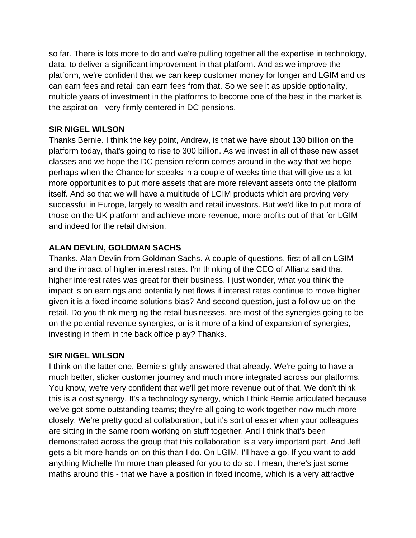so far. There is lots more to do and we're pulling together all the expertise in technology, data, to deliver a significant improvement in that platform. And as we improve the platform, we're confident that we can keep customer money for longer and LGIM and us can earn fees and retail can earn fees from that. So we see it as upside optionality, multiple years of investment in the platforms to become one of the best in the market is the aspiration - very firmly centered in DC pensions.

## **SIR NIGEL WILSON**

Thanks Bernie. I think the key point, Andrew, is that we have about 130 billion on the platform today, that's going to rise to 300 billion. As we invest in all of these new asset classes and we hope the DC pension reform comes around in the way that we hope perhaps when the Chancellor speaks in a couple of weeks time that will give us a lot more opportunities to put more assets that are more relevant assets onto the platform itself. And so that we will have a multitude of LGIM products which are proving very successful in Europe, largely to wealth and retail investors. But we'd like to put more of those on the UK platform and achieve more revenue, more profits out of that for LGIM and indeed for the retail division.

# **ALAN DEVLIN, GOLDMAN SACHS**

Thanks. Alan Devlin from Goldman Sachs. A couple of questions, first of all on LGIM and the impact of higher interest rates. I'm thinking of the CEO of Allianz said that higher interest rates was great for their business. I just wonder, what you think the impact is on earnings and potentially net flows if interest rates continue to move higher given it is a fixed income solutions bias? And second question, just a follow up on the retail. Do you think merging the retail businesses, are most of the synergies going to be on the potential revenue synergies, or is it more of a kind of expansion of synergies, investing in them in the back office play? Thanks.

# **SIR NIGEL WILSON**

I think on the latter one, Bernie slightly answered that already. We're going to have a much better, slicker customer journey and much more integrated across our platforms. You know, we're very confident that we'll get more revenue out of that. We don't think this is a cost synergy. It's a technology synergy, which I think Bernie articulated because we've got some outstanding teams; they're all going to work together now much more closely. We're pretty good at collaboration, but it's sort of easier when your colleagues are sitting in the same room working on stuff together. And I think that's been demonstrated across the group that this collaboration is a very important part. And Jeff gets a bit more hands-on on this than I do. On LGIM, I'll have a go. If you want to add anything Michelle I'm more than pleased for you to do so. I mean, there's just some maths around this - that we have a position in fixed income, which is a very attractive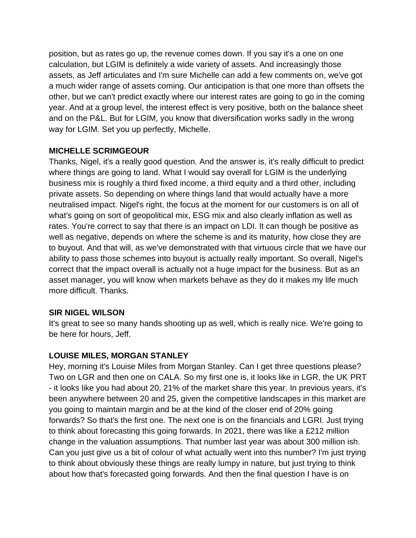position, but as rates go up, the revenue comes down. If you say it's a one on one calculation, but LGIM is definitely a wide variety of assets. And increasingly those assets, as Jeff articulates and I'm sure Michelle can add a few comments on, we've got a much wider range of assets coming. Our anticipation is that one more than offsets the other, but we can't predict exactly where our interest rates are going to go in the coming year. And at a group level, the interest effect is very positive, both on the balance sheet and on the P&L. But for LGIM, you know that diversification works sadly in the wrong way for LGIM. Set you up perfectly, Michelle.

### **MICHELLE SCRIMGEOUR**

Thanks, Nigel, it's a really good question. And the answer is, it's really difficult to predict where things are going to land. What I would say overall for LGIM is the underlying business mix is roughly a third fixed income, a third equity and a third other, including private assets. So depending on where things land that would actually have a more neutralised impact. Nigel's right, the focus at the moment for our customers is on all of what's going on sort of geopolitical mix, ESG mix and also clearly inflation as well as rates. You're correct to say that there is an impact on LDI. It can though be positive as well as negative, depends on where the scheme is and its maturity, how close they are to buyout. And that will, as we've demonstrated with that virtuous circle that we have our ability to pass those schemes into buyout is actually really important. So overall, Nigel's correct that the impact overall is actually not a huge impact for the business. But as an asset manager, you will know when markets behave as they do it makes my life much more difficult. Thanks.

### **SIR NIGEL WILSON**

It's great to see so many hands shooting up as well, which is really nice. We're going to be here for hours, Jeff.

# **LOUISE MILES, MORGAN STANLEY**

Hey, morning it's Louise Miles from Morgan Stanley. Can I get three questions please? Two on LGR and then one on CALA. So my first one is, it looks like in LGR, the UK PRT - it looks like you had about 20, 21% of the market share this year. In previous years, it's been anywhere between 20 and 25, given the competitive landscapes in this market are you going to maintain margin and be at the kind of the closer end of 20% going forwards? So that's the first one. The next one is on the financials and LGRI. Just trying to think about forecasting this going forwards. In 2021, there was like a £212 million change in the valuation assumptions. That number last year was about 300 million ish. Can you just give us a bit of colour of what actually went into this number? I'm just trying to think about obviously these things are really lumpy in nature, but just trying to think about how that's forecasted going forwards. And then the final question I have is on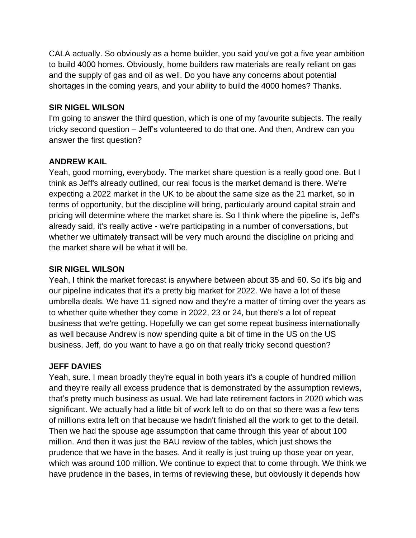CALA actually. So obviously as a home builder, you said you've got a five year ambition to build 4000 homes. Obviously, home builders raw materials are really reliant on gas and the supply of gas and oil as well. Do you have any concerns about potential shortages in the coming years, and your ability to build the 4000 homes? Thanks.

### **SIR NIGEL WILSON**

I'm going to answer the third question, which is one of my favourite subjects. The really tricky second question – Jeff's volunteered to do that one. And then, Andrew can you answer the first question?

### **ANDREW KAIL**

Yeah, good morning, everybody. The market share question is a really good one. But I think as Jeff's already outlined, our real focus is the market demand is there. We're expecting a 2022 market in the UK to be about the same size as the 21 market, so in terms of opportunity, but the discipline will bring, particularly around capital strain and pricing will determine where the market share is. So I think where the pipeline is, Jeff's already said, it's really active - we're participating in a number of conversations, but whether we ultimately transact will be very much around the discipline on pricing and the market share will be what it will be.

### **SIR NIGEL WILSON**

Yeah, I think the market forecast is anywhere between about 35 and 60. So it's big and our pipeline indicates that it's a pretty big market for 2022. We have a lot of these umbrella deals. We have 11 signed now and they're a matter of timing over the years as to whether quite whether they come in 2022, 23 or 24, but there's a lot of repeat business that we're getting. Hopefully we can get some repeat business internationally as well because Andrew is now spending quite a bit of time in the US on the US business. Jeff, do you want to have a go on that really tricky second question?

#### **JEFF DAVIES**

Yeah, sure. I mean broadly they're equal in both years it's a couple of hundred million and they're really all excess prudence that is demonstrated by the assumption reviews, that's pretty much business as usual. We had late retirement factors in 2020 which was significant. We actually had a little bit of work left to do on that so there was a few tens of millions extra left on that because we hadn't finished all the work to get to the detail. Then we had the spouse age assumption that came through this year of about 100 million. And then it was just the BAU review of the tables, which just shows the prudence that we have in the bases. And it really is just truing up those year on year, which was around 100 million. We continue to expect that to come through. We think we have prudence in the bases, in terms of reviewing these, but obviously it depends how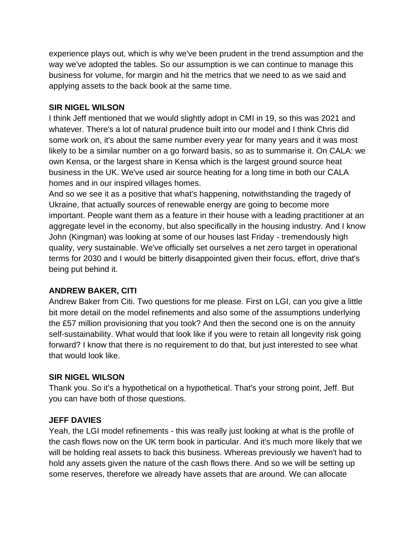experience plays out, which is why we've been prudent in the trend assumption and the way we've adopted the tables. So our assumption is we can continue to manage this business for volume, for margin and hit the metrics that we need to as we said and applying assets to the back book at the same time.

### **SIR NIGEL WILSON**

I think Jeff mentioned that we would slightly adopt in CMI in 19, so this was 2021 and whatever. There's a lot of natural prudence built into our model and I think Chris did some work on, it's about the same number every year for many years and it was most likely to be a similar number on a go forward basis, so as to summarise it. On CALA: we own Kensa, or the largest share in Kensa which is the largest ground source heat business in the UK. We've used air source heating for a long time in both our CALA homes and in our inspired villages homes.

And so we see it as a positive that what's happening, notwithstanding the tragedy of Ukraine, that actually sources of renewable energy are going to become more important. People want them as a feature in their house with a leading practitioner at an aggregate level in the economy, but also specifically in the housing industry. And I know John (Kingman) was looking at some of our houses last Friday - tremendously high quality, very sustainable. We've officially set ourselves a net zero target in operational terms for 2030 and I would be bitterly disappointed given their focus, effort, drive that's being put behind it.

### **ANDREW BAKER, CITI**

Andrew Baker from Citi. Two questions for me please. First on LGI, can you give a little bit more detail on the model refinements and also some of the assumptions underlying the £57 million provisioning that you took? And then the second one is on the annuity self-sustainability. What would that look like if you were to retain all longevity risk going forward? I know that there is no requirement to do that, but just interested to see what that would look like.

#### **SIR NIGEL WILSON**

Thank you. So it's a hypothetical on a hypothetical. That's your strong point, Jeff. But you can have both of those questions.

#### **JEFF DAVIES**

Yeah, the LGI model refinements - this was really just looking at what is the profile of the cash flows now on the UK term book in particular. And it's much more likely that we will be holding real assets to back this business. Whereas previously we haven't had to hold any assets given the nature of the cash flows there. And so we will be setting up some reserves, therefore we already have assets that are around. We can allocate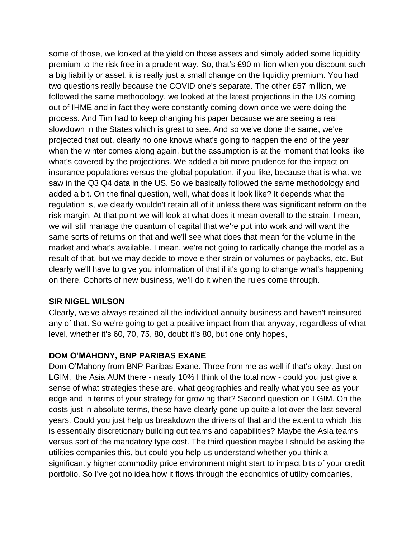some of those, we looked at the yield on those assets and simply added some liquidity premium to the risk free in a prudent way. So, that's £90 million when you discount such a big liability or asset, it is really just a small change on the liquidity premium. You had two questions really because the COVID one's separate. The other £57 million, we followed the same methodology, we looked at the latest projections in the US coming out of IHME and in fact they were constantly coming down once we were doing the process. And Tim had to keep changing his paper because we are seeing a real slowdown in the States which is great to see. And so we've done the same, we've projected that out, clearly no one knows what's going to happen the end of the year when the winter comes along again, but the assumption is at the moment that looks like what's covered by the projections. We added a bit more prudence for the impact on insurance populations versus the global population, if you like, because that is what we saw in the Q3 Q4 data in the US. So we basically followed the same methodology and added a bit. On the final question, well, what does it look like? It depends what the regulation is, we clearly wouldn't retain all of it unless there was significant reform on the risk margin. At that point we will look at what does it mean overall to the strain. I mean, we will still manage the quantum of capital that we're put into work and will want the same sorts of returns on that and we'll see what does that mean for the volume in the market and what's available. I mean, we're not going to radically change the model as a result of that, but we may decide to move either strain or volumes or paybacks, etc. But clearly we'll have to give you information of that if it's going to change what's happening on there. Cohorts of new business, we'll do it when the rules come through.

### **SIR NIGEL WILSON**

Clearly, we've always retained all the individual annuity business and haven't reinsured any of that. So we're going to get a positive impact from that anyway, regardless of what level, whether it's 60, 70, 75, 80, doubt it's 80, but one only hopes,

### **DOM O'MAHONY, BNP PARIBAS EXANE**

Dom O'Mahony from BNP Paribas Exane. Three from me as well if that's okay. Just on LGIM, the Asia AUM there - nearly 10% I think of the total now - could you just give a sense of what strategies these are, what geographies and really what you see as your edge and in terms of your strategy for growing that? Second question on LGIM. On the costs just in absolute terms, these have clearly gone up quite a lot over the last several years. Could you just help us breakdown the drivers of that and the extent to which this is essentially discretionary building out teams and capabilities? Maybe the Asia teams versus sort of the mandatory type cost. The third question maybe I should be asking the utilities companies this, but could you help us understand whether you think a significantly higher commodity price environment might start to impact bits of your credit portfolio. So I've got no idea how it flows through the economics of utility companies,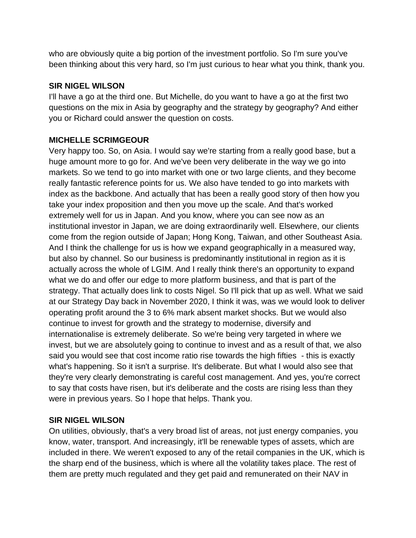who are obviously quite a big portion of the investment portfolio. So I'm sure you've been thinking about this very hard, so I'm just curious to hear what you think, thank you.

### **SIR NIGEL WILSON**

I'll have a go at the third one. But Michelle, do you want to have a go at the first two questions on the mix in Asia by geography and the strategy by geography? And either you or Richard could answer the question on costs.

# **MICHELLE SCRIMGEOUR**

Very happy too. So, on Asia. I would say we're starting from a really good base, but a huge amount more to go for. And we've been very deliberate in the way we go into markets. So we tend to go into market with one or two large clients, and they become really fantastic reference points for us. We also have tended to go into markets with index as the backbone. And actually that has been a really good story of then how you take your index proposition and then you move up the scale. And that's worked extremely well for us in Japan. And you know, where you can see now as an institutional investor in Japan, we are doing extraordinarily well. Elsewhere, our clients come from the region outside of Japan; Hong Kong, Taiwan, and other Southeast Asia. And I think the challenge for us is how we expand geographically in a measured way, but also by channel. So our business is predominantly institutional in region as it is actually across the whole of LGIM. And I really think there's an opportunity to expand what we do and offer our edge to more platform business, and that is part of the strategy. That actually does link to costs Nigel. So I'll pick that up as well. What we said at our Strategy Day back in November 2020, I think it was, was we would look to deliver operating profit around the 3 to 6% mark absent market shocks. But we would also continue to invest for growth and the strategy to modernise, diversify and internationalise is extremely deliberate. So we're being very targeted in where we invest, but we are absolutely going to continue to invest and as a result of that, we also said you would see that cost income ratio rise towards the high fifties - this is exactly what's happening. So it isn't a surprise. It's deliberate. But what I would also see that they're very clearly demonstrating is careful cost management. And yes, you're correct to say that costs have risen, but it's deliberate and the costs are rising less than they were in previous years. So I hope that helps. Thank you.

### **SIR NIGEL WILSON**

On utilities, obviously, that's a very broad list of areas, not just energy companies, you know, water, transport. And increasingly, it'll be renewable types of assets, which are included in there. We weren't exposed to any of the retail companies in the UK, which is the sharp end of the business, which is where all the volatility takes place. The rest of them are pretty much regulated and they get paid and remunerated on their NAV in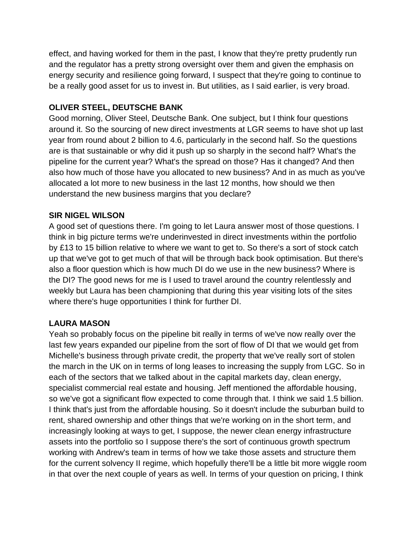effect, and having worked for them in the past, I know that they're pretty prudently run and the regulator has a pretty strong oversight over them and given the emphasis on energy security and resilience going forward, I suspect that they're going to continue to be a really good asset for us to invest in. But utilities, as I said earlier, is very broad.

# **OLIVER STEEL, DEUTSCHE BANK**

Good morning, Oliver Steel, Deutsche Bank. One subject, but I think four questions around it. So the sourcing of new direct investments at LGR seems to have shot up last year from round about 2 billion to 4.6, particularly in the second half. So the questions are is that sustainable or why did it push up so sharply in the second half? What's the pipeline for the current year? What's the spread on those? Has it changed? And then also how much of those have you allocated to new business? And in as much as you've allocated a lot more to new business in the last 12 months, how should we then understand the new business margins that you declare?

# **SIR NIGEL WILSON**

A good set of questions there. I'm going to let Laura answer most of those questions. I think in big picture terms we're underinvested in direct investments within the portfolio by £13 to 15 billion relative to where we want to get to. So there's a sort of stock catch up that we've got to get much of that will be through back book optimisation. But there's also a floor question which is how much DI do we use in the new business? Where is the DI? The good news for me is I used to travel around the country relentlessly and weekly but Laura has been championing that during this year visiting lots of the sites where there's huge opportunities I think for further DI.

### **LAURA MASON**

Yeah so probably focus on the pipeline bit really in terms of we've now really over the last few years expanded our pipeline from the sort of flow of DI that we would get from Michelle's business through private credit, the property that we've really sort of stolen the march in the UK on in terms of long leases to increasing the supply from LGC. So in each of the sectors that we talked about in the capital markets day, clean energy, specialist commercial real estate and housing. Jeff mentioned the affordable housing, so we've got a significant flow expected to come through that. I think we said 1.5 billion. I think that's just from the affordable housing. So it doesn't include the suburban build to rent, shared ownership and other things that we're working on in the short term, and increasingly looking at ways to get, I suppose, the newer clean energy infrastructure assets into the portfolio so I suppose there's the sort of continuous growth spectrum working with Andrew's team in terms of how we take those assets and structure them for the current solvency II regime, which hopefully there'll be a little bit more wiggle room in that over the next couple of years as well. In terms of your question on pricing, I think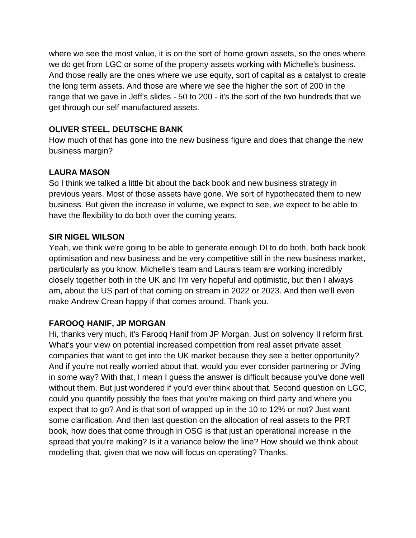where we see the most value, it is on the sort of home grown assets, so the ones where we do get from LGC or some of the property assets working with Michelle's business. And those really are the ones where we use equity, sort of capital as a catalyst to create the long term assets. And those are where we see the higher the sort of 200 in the range that we gave in Jeff's slides - 50 to 200 - it's the sort of the two hundreds that we get through our self manufactured assets.

# **OLIVER STEEL, DEUTSCHE BANK**

How much of that has gone into the new business figure and does that change the new business margin?

## **LAURA MASON**

So I think we talked a little bit about the back book and new business strategy in previous years. Most of those assets have gone. We sort of hypothecated them to new business. But given the increase in volume, we expect to see, we expect to be able to have the flexibility to do both over the coming years.

### **SIR NIGEL WILSON**

Yeah, we think we're going to be able to generate enough DI to do both, both back book optimisation and new business and be very competitive still in the new business market, particularly as you know, Michelle's team and Laura's team are working incredibly closely together both in the UK and I'm very hopeful and optimistic, but then I always am, about the US part of that coming on stream in 2022 or 2023. And then we'll even make Andrew Crean happy if that comes around. Thank you.

### **FAROOQ HANIF, JP MORGAN**

Hi, thanks very much, it's Farooq Hanif from JP Morgan. Just on solvency II reform first. What's your view on potential increased competition from real asset private asset companies that want to get into the UK market because they see a better opportunity? And if you're not really worried about that, would you ever consider partnering or JVing in some way? With that, I mean I guess the answer is difficult because you've done well without them. But just wondered if you'd ever think about that. Second question on LGC, could you quantify possibly the fees that you're making on third party and where you expect that to go? And is that sort of wrapped up in the 10 to 12% or not? Just want some clarification. And then last question on the allocation of real assets to the PRT book, how does that come through in OSG is that just an operational increase in the spread that you're making? Is it a variance below the line? How should we think about modelling that, given that we now will focus on operating? Thanks.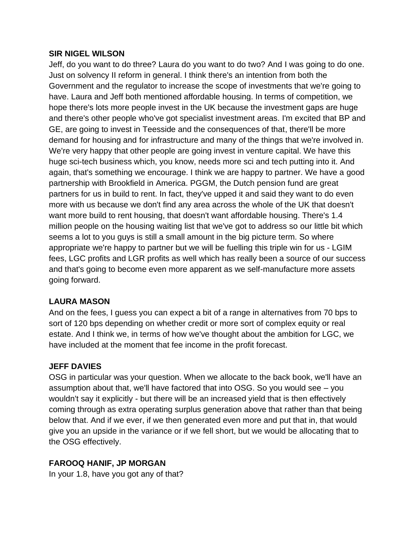#### **SIR NIGEL WILSON**

Jeff, do you want to do three? Laura do you want to do two? And I was going to do one. Just on solvency II reform in general. I think there's an intention from both the Government and the regulator to increase the scope of investments that we're going to have. Laura and Jeff both mentioned affordable housing. In terms of competition, we hope there's lots more people invest in the UK because the investment gaps are huge and there's other people who've got specialist investment areas. I'm excited that BP and GE, are going to invest in Teesside and the consequences of that, there'll be more demand for housing and for infrastructure and many of the things that we're involved in. We're very happy that other people are going invest in venture capital. We have this huge sci-tech business which, you know, needs more sci and tech putting into it. And again, that's something we encourage. I think we are happy to partner. We have a good partnership with Brookfield in America. PGGM, the Dutch pension fund are great partners for us in build to rent. In fact, they've upped it and said they want to do even more with us because we don't find any area across the whole of the UK that doesn't want more build to rent housing, that doesn't want affordable housing. There's 1.4 million people on the housing waiting list that we've got to address so our little bit which seems a lot to you guys is still a small amount in the big picture term. So where appropriate we're happy to partner but we will be fuelling this triple win for us - LGIM fees, LGC profits and LGR profits as well which has really been a source of our success and that's going to become even more apparent as we self-manufacture more assets going forward.

# **LAURA MASON**

And on the fees, I guess you can expect a bit of a range in alternatives from 70 bps to sort of 120 bps depending on whether credit or more sort of complex equity or real estate. And I think we, in terms of how we've thought about the ambition for LGC, we have included at the moment that fee income in the profit forecast.

### **JEFF DAVIES**

OSG in particular was your question. When we allocate to the back book, we'll have an assumption about that, we'll have factored that into OSG. So you would see – you wouldn't say it explicitly - but there will be an increased yield that is then effectively coming through as extra operating surplus generation above that rather than that being below that. And if we ever, if we then generated even more and put that in, that would give you an upside in the variance or if we fell short, but we would be allocating that to the OSG effectively.

# **FAROOQ HANIF, JP MORGAN**

In your 1.8, have you got any of that?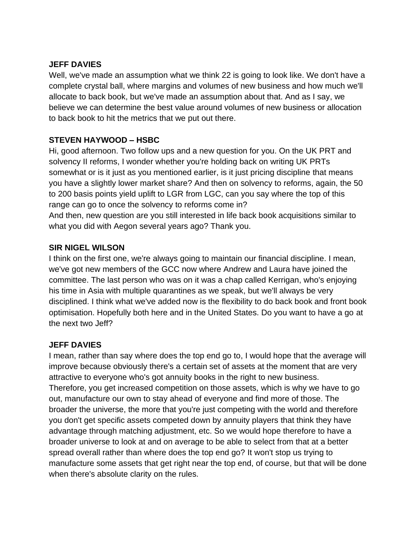### **JEFF DAVIES**

Well, we've made an assumption what we think 22 is going to look like. We don't have a complete crystal ball, where margins and volumes of new business and how much we'll allocate to back book, but we've made an assumption about that. And as I say, we believe we can determine the best value around volumes of new business or allocation to back book to hit the metrics that we put out there.

### **STEVEN HAYWOOD – HSBC**

what you did with Aegon several years ago? Thank you.

Hi, good afternoon. Two follow ups and a new question for you. On the UK PRT and solvency II reforms, I wonder whether you're holding back on writing UK PRTs somewhat or is it just as you mentioned earlier, is it just pricing discipline that means you have a slightly lower market share? And then on solvency to reforms, again, the 50 to 200 basis points yield uplift to LGR from LGC, can you say where the top of this range can go to once the solvency to reforms come in? And then, new question are you still interested in life back book acquisitions similar to

### **SIR NIGEL WILSON**

I think on the first one, we're always going to maintain our financial discipline. I mean, we've got new members of the GCC now where Andrew and Laura have joined the committee. The last person who was on it was a chap called Kerrigan, who's enjoying his time in Asia with multiple quarantines as we speak, but we'll always be very disciplined. I think what we've added now is the flexibility to do back book and front book optimisation. Hopefully both here and in the United States. Do you want to have a go at the next two Jeff?

### **JEFF DAVIES**

I mean, rather than say where does the top end go to, I would hope that the average will improve because obviously there's a certain set of assets at the moment that are very attractive to everyone who's got annuity books in the right to new business. Therefore, you get increased competition on those assets, which is why we have to go out, manufacture our own to stay ahead of everyone and find more of those. The broader the universe, the more that you're just competing with the world and therefore you don't get specific assets competed down by annuity players that think they have advantage through matching adjustment, etc. So we would hope therefore to have a broader universe to look at and on average to be able to select from that at a better spread overall rather than where does the top end go? It won't stop us trying to manufacture some assets that get right near the top end, of course, but that will be done when there's absolute clarity on the rules.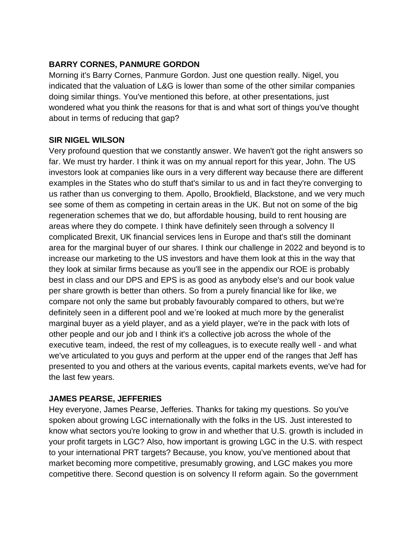## **BARRY CORNES, PANMURE GORDON**

Morning it's Barry Cornes, Panmure Gordon. Just one question really. Nigel, you indicated that the valuation of L&G is lower than some of the other similar companies doing similar things. You've mentioned this before, at other presentations, just wondered what you think the reasons for that is and what sort of things you've thought about in terms of reducing that gap?

### **SIR NIGEL WILSON**

Very profound question that we constantly answer. We haven't got the right answers so far. We must try harder. I think it was on my annual report for this year, John. The US investors look at companies like ours in a very different way because there are different examples in the States who do stuff that's similar to us and in fact they're converging to us rather than us converging to them. Apollo, Brookfield, Blackstone, and we very much see some of them as competing in certain areas in the UK. But not on some of the big regeneration schemes that we do, but affordable housing, build to rent housing are areas where they do compete. I think have definitely seen through a solvency II complicated Brexit, UK financial services lens in Europe and that's still the dominant area for the marginal buyer of our shares. I think our challenge in 2022 and beyond is to increase our marketing to the US investors and have them look at this in the way that they look at similar firms because as you'll see in the appendix our ROE is probably best in class and our DPS and EPS is as good as anybody else's and our book value per share growth is better than others. So from a purely financial like for like, we compare not only the same but probably favourably compared to others, but we're definitely seen in a different pool and we're looked at much more by the generalist marginal buyer as a yield player, and as a yield player, we're in the pack with lots of other people and our job and I think it's a collective job across the whole of the executive team, indeed, the rest of my colleagues, is to execute really well - and what we've articulated to you guys and perform at the upper end of the ranges that Jeff has presented to you and others at the various events, capital markets events, we've had for the last few years.

### **JAMES PEARSE, JEFFERIES**

Hey everyone, James Pearse, Jefferies. Thanks for taking my questions. So you've spoken about growing LGC internationally with the folks in the US. Just interested to know what sectors you're looking to grow in and whether that U.S. growth is included in your profit targets in LGC? Also, how important is growing LGC in the U.S. with respect to your international PRT targets? Because, you know, you've mentioned about that market becoming more competitive, presumably growing, and LGC makes you more competitive there. Second question is on solvency II reform again. So the government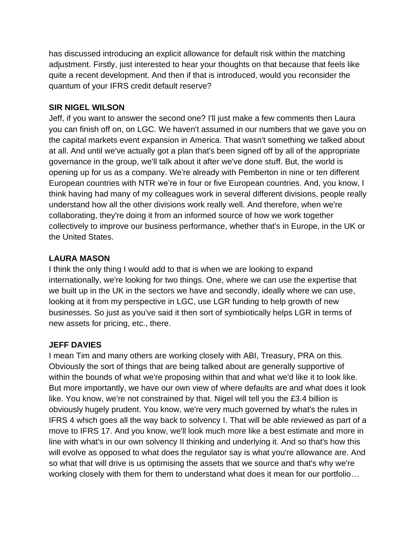has discussed introducing an explicit allowance for default risk within the matching adjustment. Firstly, just interested to hear your thoughts on that because that feels like quite a recent development. And then if that is introduced, would you reconsider the quantum of your IFRS credit default reserve?

## **SIR NIGEL WILSON**

Jeff, if you want to answer the second one? I'll just make a few comments then Laura you can finish off on, on LGC. We haven't assumed in our numbers that we gave you on the capital markets event expansion in America. That wasn't something we talked about at all. And until we've actually got a plan that's been signed off by all of the appropriate governance in the group, we'll talk about it after we've done stuff. But, the world is opening up for us as a company. We're already with Pemberton in nine or ten different European countries with NTR we're in four or five European countries. And, you know, I think having had many of my colleagues work in several different divisions, people really understand how all the other divisions work really well. And therefore, when we're collaborating, they're doing it from an informed source of how we work together collectively to improve our business performance, whether that's in Europe, in the UK or the United States.

### **LAURA MASON**

I think the only thing I would add to that is when we are looking to expand internationally, we're looking for two things. One, where we can use the expertise that we built up in the UK in the sectors we have and secondly, ideally where we can use, looking at it from my perspective in LGC, use LGR funding to help growth of new businesses. So just as you've said it then sort of symbiotically helps LGR in terms of new assets for pricing, etc., there.

# **JEFF DAVIES**

I mean Tim and many others are working closely with ABI, Treasury, PRA on this. Obviously the sort of things that are being talked about are generally supportive of within the bounds of what we're proposing within that and what we'd like it to look like. But more importantly, we have our own view of where defaults are and what does it look like. You know, we're not constrained by that. Nigel will tell you the £3.4 billion is obviously hugely prudent. You know, we're very much governed by what's the rules in IFRS 4 which goes all the way back to solvency I. That will be able reviewed as part of a move to IFRS 17. And you know, we'll look much more like a best estimate and more in line with what's in our own solvency II thinking and underlying it. And so that's how this will evolve as opposed to what does the regulator say is what you're allowance are. And so what that will drive is us optimising the assets that we source and that's why we're working closely with them for them to understand what does it mean for our portfolio…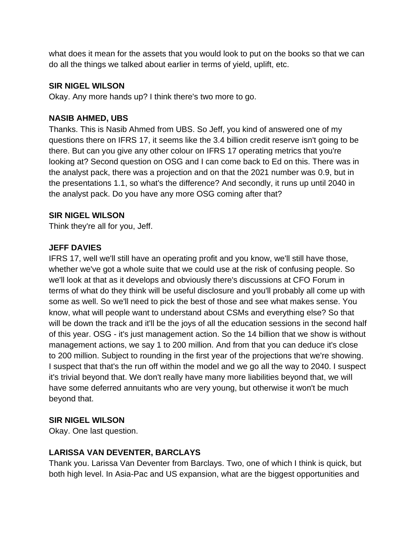what does it mean for the assets that you would look to put on the books so that we can do all the things we talked about earlier in terms of yield, uplift, etc.

### **SIR NIGEL WILSON**

Okay. Any more hands up? I think there's two more to go.

### **NASIB AHMED, UBS**

Thanks. This is Nasib Ahmed from UBS. So Jeff, you kind of answered one of my questions there on IFRS 17, it seems like the 3.4 billion credit reserve isn't going to be there. But can you give any other colour on IFRS 17 operating metrics that you're looking at? Second question on OSG and I can come back to Ed on this. There was in the analyst pack, there was a projection and on that the 2021 number was 0.9, but in the presentations 1.1, so what's the difference? And secondly, it runs up until 2040 in the analyst pack. Do you have any more OSG coming after that?

### **SIR NIGEL WILSON**

Think they're all for you, Jeff.

### **JEFF DAVIES**

IFRS 17, well we'll still have an operating profit and you know, we'll still have those, whether we've got a whole suite that we could use at the risk of confusing people. So we'll look at that as it develops and obviously there's discussions at CFO Forum in terms of what do they think will be useful disclosure and you'll probably all come up with some as well. So we'll need to pick the best of those and see what makes sense. You know, what will people want to understand about CSMs and everything else? So that will be down the track and it'll be the joys of all the education sessions in the second half of this year. OSG - it's just management action. So the 14 billion that we show is without management actions, we say 1 to 200 million. And from that you can deduce it's close to 200 million. Subject to rounding in the first year of the projections that we're showing. I suspect that that's the run off within the model and we go all the way to 2040. I suspect it's trivial beyond that. We don't really have many more liabilities beyond that, we will have some deferred annuitants who are very young, but otherwise it won't be much beyond that.

#### **SIR NIGEL WILSON**

Okay. One last question.

### **LARISSA VAN DEVENTER, BARCLAYS**

Thank you. Larissa Van Deventer from Barclays. Two, one of which I think is quick, but both high level. In Asia-Pac and US expansion, what are the biggest opportunities and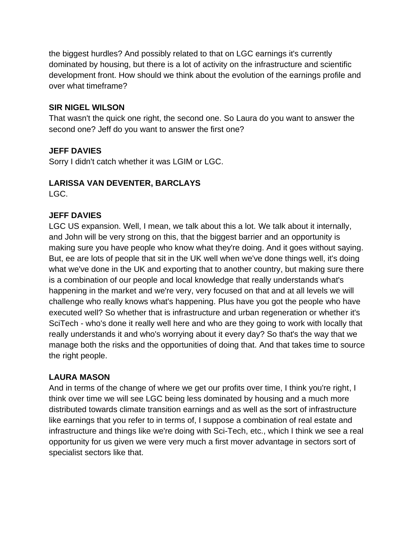the biggest hurdles? And possibly related to that on LGC earnings it's currently dominated by housing, but there is a lot of activity on the infrastructure and scientific development front. How should we think about the evolution of the earnings profile and over what timeframe?

### **SIR NIGEL WILSON**

That wasn't the quick one right, the second one. So Laura do you want to answer the second one? Jeff do you want to answer the first one?

### **JEFF DAVIES**

Sorry I didn't catch whether it was LGIM or LGC.

### **LARISSA VAN DEVENTER, BARCLAYS**

LGC.

### **JEFF DAVIES**

LGC US expansion. Well, I mean, we talk about this a lot. We talk about it internally, and John will be very strong on this, that the biggest barrier and an opportunity is making sure you have people who know what they're doing. And it goes without saying. But, ee are lots of people that sit in the UK well when we've done things well, it's doing what we've done in the UK and exporting that to another country, but making sure there is a combination of our people and local knowledge that really understands what's happening in the market and we're very, very focused on that and at all levels we will challenge who really knows what's happening. Plus have you got the people who have executed well? So whether that is infrastructure and urban regeneration or whether it's SciTech - who's done it really well here and who are they going to work with locally that really understands it and who's worrying about it every day? So that's the way that we manage both the risks and the opportunities of doing that. And that takes time to source the right people.

### **LAURA MASON**

And in terms of the change of where we get our profits over time, I think you're right, I think over time we will see LGC being less dominated by housing and a much more distributed towards climate transition earnings and as well as the sort of infrastructure like earnings that you refer to in terms of, I suppose a combination of real estate and infrastructure and things like we're doing with Sci-Tech, etc., which I think we see a real opportunity for us given we were very much a first mover advantage in sectors sort of specialist sectors like that.